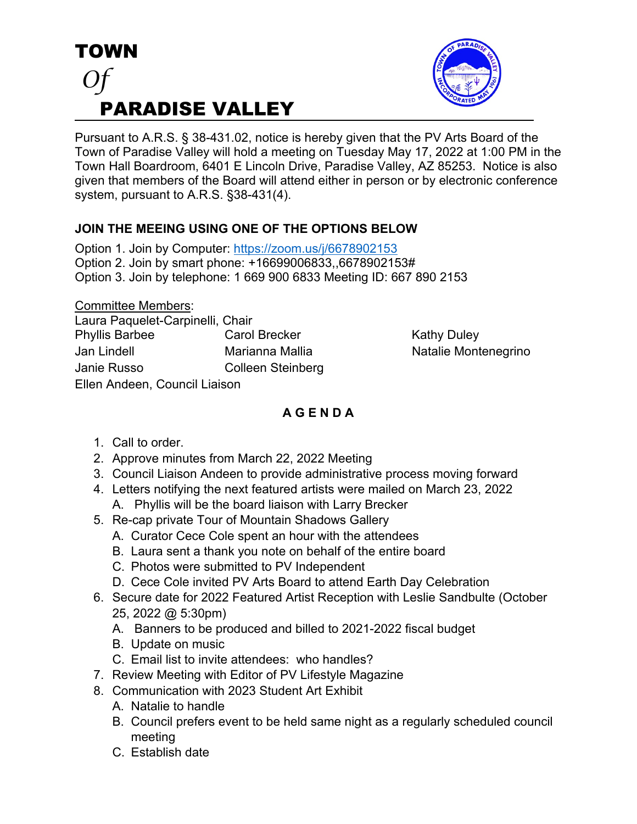



Pursuant to A.R.S. § 38-431.02, notice is hereby given that the PV Arts Board of the Town of Paradise Valley will hold a meeting on Tuesday May 17, 2022 at 1:00 PM in the Town Hall Boardroom, 6401 E Lincoln Drive, Paradise Valley, AZ 85253. Notice is also given that members of the Board will attend either in person or by electronic conference system, pursuant to A.R.S. §38-431(4).

## **JOIN THE MEEING USING ONE OF THE OPTIONS BELOW**

Option 1. Join by Computer: https://zoom.us/j/6678902153 Option 2. Join by smart phone: +16699006833,,6678902153# Option 3. Join by telephone: 1 669 900 6833 Meeting ID: 667 890 2153

Committee Members:

| Laura Paquelet-Carpinelli, Chair |                          |
|----------------------------------|--------------------------|
| <b>Phyllis Barbee</b>            | <b>Carol Brecker</b>     |
| Jan Lindell                      | Marianna Mallia          |
| Janie Russo                      | <b>Colleen Steinberg</b> |
| Ellen Andeen, Council Liaison    |                          |

**Kathy Duley** Natalie Montenegrino

## **A G E N D A**

- 1. Call to order.
- 2. Approve minutes from March 22, 2022 Meeting
- 3. Council Liaison Andeen to provide administrative process moving forward
- 4. Letters notifying the next featured artists were mailed on March 23, 2022
	- A. Phyllis will be the board liaison with Larry Brecker
- 5. Re-cap private Tour of Mountain Shadows Gallery
	- A. Curator Cece Cole spent an hour with the attendees
	- B. Laura sent a thank you note on behalf of the entire board
	- C. Photos were submitted to PV Independent
	- D. Cece Cole invited PV Arts Board to attend Earth Day Celebration
- 6. Secure date for 2022 Featured Artist Reception with Leslie Sandbulte (October 25, 2022 @ 5:30pm)
	- A. Banners to be produced and billed to 2021-2022 fiscal budget
	- B. Update on music
	- C. Email list to invite attendees: who handles?
- 7. Review Meeting with Editor of PV Lifestyle Magazine
- 8. Communication with 2023 Student Art Exhibit
	- A. Natalie to handle
	- B. Council prefers event to be held same night as a regularly scheduled council meeting
	- C. Establish date